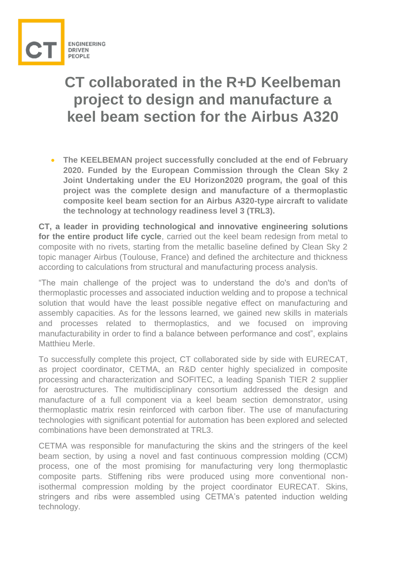

## **CT collaborated in the R+D Keelbeman project to design and manufacture a keel beam section for the Airbus A320**

 **The KEELBEMAN project successfully concluded at the end of February 2020. Funded by the European Commission through the Clean Sky 2 Joint Undertaking under the EU Horizon2020 program, the goal of this project was the complete design and manufacture of a thermoplastic composite keel beam section for an Airbus A320-type aircraft to validate the technology at technology readiness level 3 (TRL3).**

**CT, a leader in providing technological and innovative engineering solutions for the entire product life cycle**, carried out the keel beam redesign from metal to composite with no rivets, starting from the metallic baseline defined by Clean Sky 2 topic manager Airbus (Toulouse, France) and defined the architecture and thickness according to calculations from structural and manufacturing process analysis.

"The main challenge of the project was to understand the do's and don'ts of thermoplastic processes and associated induction welding and to propose a technical solution that would have the least possible negative effect on manufacturing and assembly capacities. As for the lessons learned, we gained new skills in materials and processes related to thermoplastics, and we focused on improving manufacturability in order to find a balance between performance and cost", explains Matthieu Merle.

To successfully complete this project, CT collaborated side by side with EURECAT, as project coordinator, CETMA, an R&D center highly specialized in composite processing and characterization and SOFITEC, a leading Spanish TIER 2 supplier for aerostructures. The multidisciplinary consortium addressed the design and manufacture of a full component via a keel beam section demonstrator, using thermoplastic matrix resin reinforced with carbon fiber. The use of manufacturing technologies with significant potential for automation has been explored and selected combinations have been demonstrated at TRL3.

CETMA was responsible for manufacturing the skins and the stringers of the keel beam section, by using a novel and fast continuous compression molding (CCM) process, one of the most promising for manufacturing very long thermoplastic composite parts. Stiffening ribs were produced using more conventional nonisothermal compression molding by the project coordinator EURECAT. Skins, stringers and ribs were assembled using CETMA's patented induction welding technology.